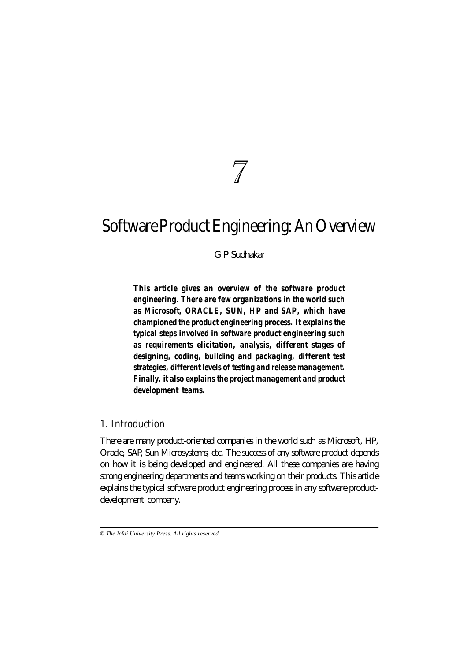# $\overline{\mathcal{J}}$

# **Software Product Engineering: An Overview**

*G P Sudhakar*

*This article gives an overview of the software product engineering. There are few organizations in the world such as Microsoft, ORACLE, SUN, HP and SAP, which have championed the product engineering process. It explains the typical steps involved in software product engineering such as requirements elicitation, analysis, different stages of designing, coding, building and packaging, different test strategies, different levels of testing and release management. Finally, it also explains the project management and product development teams.*

#### **1. Introduction**

There are many product-oriented companies in the world such as Microsoft, HP, Oracle, SAP, Sun Microsystems, etc. The success of any software product depends on how it is being developed and engineered. All these companies are having strong engineering departments and teams working on their products. This article explains the typical software product engineering process in any software productdevelopment company.

*<sup>©</sup> The Icfai University Press. All rights reserved.*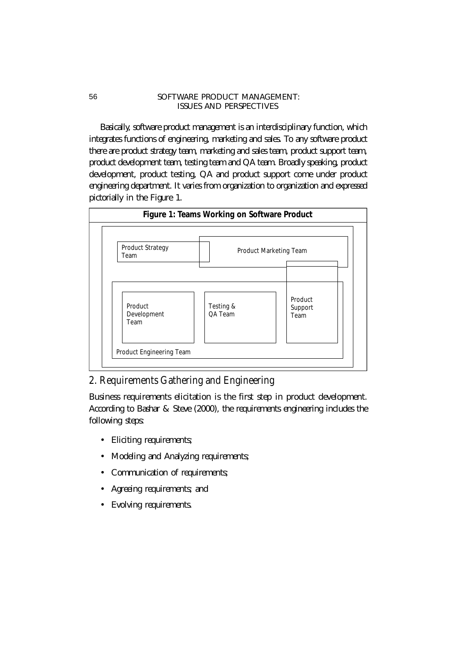Basically, software product management is an interdisciplinary function, which integrates functions of engineering, marketing and sales. To any software product there are product strategy team, marketing and sales team, product support team, product development team, testing team and QA team. Broadly speaking, product development, product testing, QA and product support come under product engineering department. It varies from organization to organization and expressed pictorially in the Figure 1.



# **2. Requirements Gathering and Engineering**

Business requirements elicitation is the first step in product development. According to Bashar & Steve (2000), the requirements engineering includes the following steps:

- Eliciting requirements;
- Modeling and Analyzing requirements;
- Communication of requirements;
- Agreeing requirements; and
- Evolving requirements.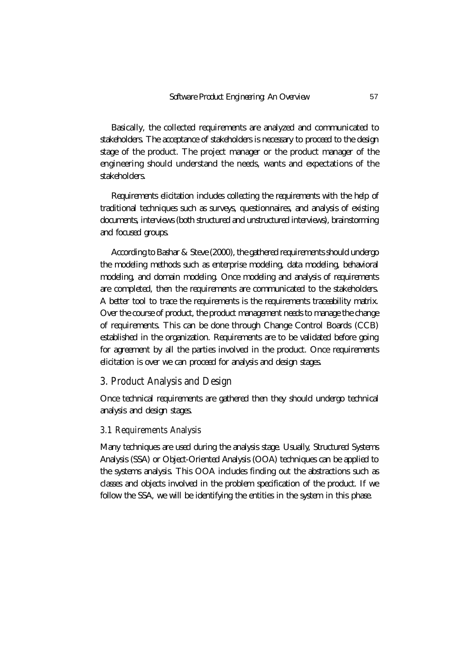Basically, the collected requirements are analyzed and communicated to stakeholders. The acceptance of stakeholders is necessary to proceed to the design stage of the product. The project manager or the product manager of the engineering should understand the needs, wants and expectations of the stakeholders.

Requirements elicitation includes collecting the requirements with the help of traditional techniques such as surveys, questionnaires, and analysis of existing documents, interviews (both structured and unstructured interviews), brainstorming and focused groups.

According to Bashar & Steve (2000), the gathered requirements should undergo the modeling methods such as enterprise modeling, data modeling, behavioral modeling, and domain modeling. Once modeling and analysis of requirements are completed, then the requirements are communicated to the stakeholders. A better tool to trace the requirements is the requirements traceability matrix. Over the course of product, the product management needs to manage the change of requirements. This can be done through Change Control Boards (CCB) established in the organization. Requirements are to be validated before going for agreement by all the parties involved in the product. Once requirements elicitation is over we can proceed for analysis and design stages.

# **3. Product Analysis and Design**

Once technical requirements are gathered then they should undergo technical analysis and design stages.

#### **3.1 Requirements Analysis**

Many techniques are used during the analysis stage. Usually, Structured Systems Analysis (SSA) or Object-Oriented Analysis (OOA) techniques can be applied to the systems analysis. This OOA includes finding out the abstractions such as classes and objects involved in the problem specification of the product. If we follow the SSA, we will be identifying the entities in the system in this phase.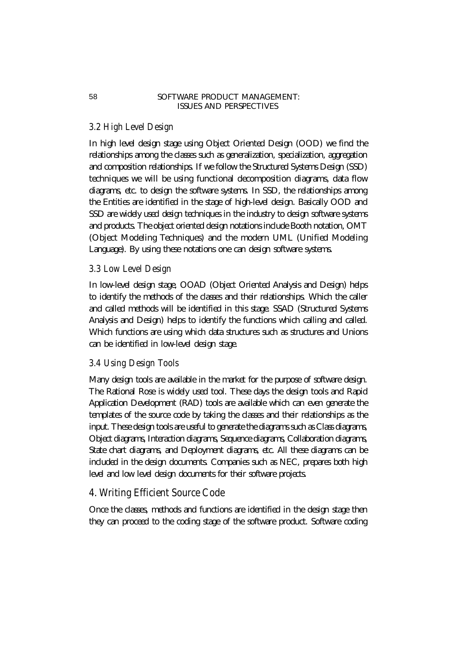# **3.2 High Level Design**

In high level design stage using Object Oriented Design (OOD) we find the relationships among the classes such as generalization, specialization, aggregation and composition relationships. If we follow the Structured Systems Design (SSD) techniques we will be using functional decomposition diagrams, data flow diagrams, etc. to design the software systems. In SSD, the relationships among the Entities are identified in the stage of high-level design. Basically OOD and SSD are widely used *design* techniques in the industry to design software systems and products. The object oriented design notations include Booth notation, OMT (Object Modeling Techniques) and the modern UML (Unified Modeling Language). By using these notations one can design software systems.

#### **3.3 Low Level Design**

In low-level design stage, OOAD (Object Oriented Analysis and Design) helps to identify the methods of the classes and their relationships. Which the caller and called methods will be identified in this stage. SSAD (Structured Systems Analysis and Design) helps to identify the functions which calling and called. Which functions are using which data structures such as structures and Unions can be identified in low-level design stage.

#### **3.4 Using Design Tools**

Many design tools are available in the market for the purpose of software design. The Rational Rose is widely used tool. These days the design tools and Rapid Application Development (RAD) tools are available which can even generate the templates of the source code by taking the classes and their relationships as the input. These design tools are useful to generate the diagrams such as Class diagrams, Object diagrams, Interaction diagrams, Sequence diagrams, Collaboration diagrams, State chart diagrams, and Deployment diagrams, etc. All these diagrams can be included in the design documents. Companies such as NEC, prepares both high level and low level design documents for their software projects.

### **4. Writing Efficient Source Code**

Once the classes, methods and functions are identified in the design stage then they can proceed to the coding stage of the software product. Software coding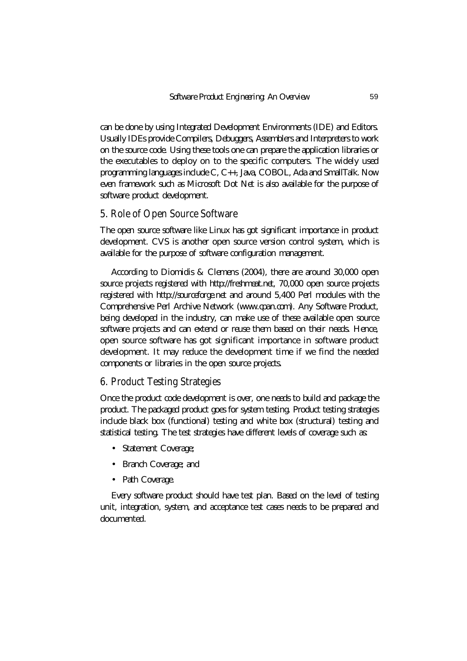can be done by using Integrated Development Environments (IDE) and Editors. Usually IDEs provide Compilers, Debuggers, Assemblers and Interpreters to work on the source code. Using these tools one can prepare the application libraries or the executables to deploy on to the specific computers. The widely used programming languages include C, C++, Java, COBOL, Ada and SmallTalk. Now even framework such as Microsoft Dot Net is also available for the purpose of software product development.

# **5. Role of Open Source Software**

The open source software like Linux has got significant importance in product development. CVS is another open source version control system, which is available for the purpose of software configuration management.

According to Diomidis & Clemens (2004), there are around 30,000 open source projects registered with *http://freshmeat.net,* 70,000 open source projects registered with *http://sourceforge.net* and around 5,400 Perl modules with the Comprehensive Perl Archive Network *(www.cpan.com)*. Any Software Product, being developed in the industry, can make use of these available open source software projects and can extend or reuse them based on their needs. Hence, open source software has got significant importance in software product development. It may reduce the development time if we find the needed components or libraries in the open source projects.

# **6. Product Testing Strategies**

Once the product code development is over, one needs to build and package the product. The packaged product goes for system testing. Product testing strategies include black box (functional) testing and white box (structural) testing and statistical testing. The test strategies have different levels of coverage such as:

- Statement Coverage;
- Branch Coverage; and
- Path Coverage.

Every software product should have test plan. Based on the level of testing unit, integration, system, and acceptance test cases needs to be prepared and documented.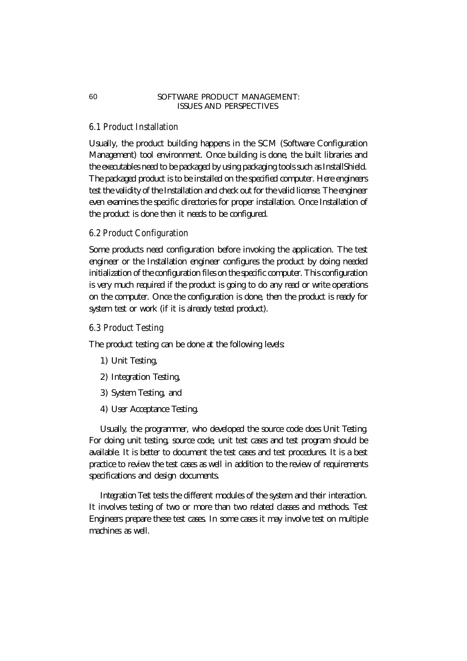# **6.1 Product Installation**

Usually, the product building happens in the SCM (Software Configuration Management) tool environment. Once building is done, the built libraries and the executables need to be packaged by using packaging tools such as InstallShield. The packaged product is to be installed on the specified computer. Here engineers test the validity of the Installation and check out for the valid license. The engineer even examines the specific directories for proper installation. Once Installation of the product is done then it needs to be configured.

#### **6.2 Product Configuration**

Some products need configuration before invoking the application. The test engineer or the Installation engineer configures the product by doing needed initialization of the configuration files on the specific computer. This configuration is very much required if the product is going to do any read or write operations on the computer. Once the configuration is done, then the product is ready for system test or work (if it is already tested product).

#### **6.3 Product Testing**

The product testing can be done at the following levels:

- 1) Unit Testing,
- 2) Integration Testing,
- 3) System Testing, and
- 4) User Acceptance Testing.

Usually, the programmer, who developed the source code does *Unit Testing*. For doing unit testing, source code, unit test cases and test program should be available. It is better to document the test cases and test procedures. It is a best practice to review the test cases as well in addition to the review of requirements specifications and design documents.

*Integration Test* tests the different modules of the system and their interaction. It involves testing of two or more than two related classes and methods. Test Engineers prepare these test cases. In some cases it may involve test on multiple machines as well.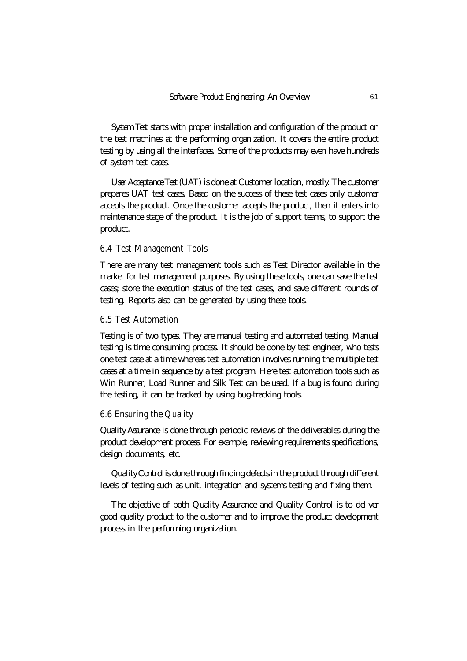*System Test* starts with proper installation and configuration of the product on the test machines at the performing organization. It covers the entire product testing by using all the interfaces. Some of the products may even have hundreds of system test cases.

*User Acceptance Test (UAT)* is done at Customer location, mostly. The customer prepares UAT test cases. Based on the success of these test cases only customer accepts the product. Once the customer accepts the product, then it enters into maintenance stage of the product. It is the job of support teams, to support the product.

#### **6.4 Test Management Tools**

There are many test management tools such as Test Director available in the market for test management purposes. By using these tools, one can save the test cases; store the execution status of the test cases, and save different rounds of testing. Reports also can be generated by using these tools.

#### **6.5 Test Automation**

Testing is of two types. They are manual testing and automated testing. Manual testing is time consuming process. It should be done by test engineer, who tests one test case at a time whereas test automation involves running the multiple test cases at a time in sequence by a test program. Here test automation tools such as Win Runner, Load Runner and Silk Test can be used. If a bug is found during the testing, it can be tracked by using bug-tracking tools.

#### **6.6 Ensuring the Quality**

*Quality Assurance* is done through periodic reviews of the deliverables during the product development process. For example, reviewing requirements specifications, design documents, etc.

*Quality Control* is done through finding defects in the product through different levels of testing such as unit, integration and systems testing and fixing them.

The objective of both Quality Assurance and Quality Control is to deliver good quality product to the customer and to improve the product development process in the performing organization.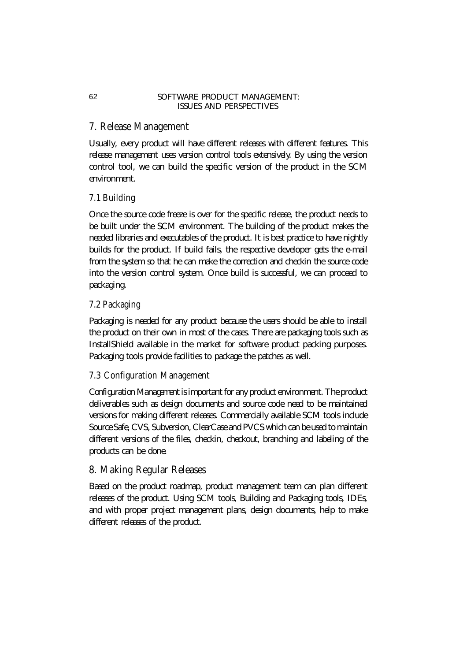# **7. Release Management**

Usually, every product will have different releases with different features. This release management uses version control tools extensively. By using the version control tool, we can build the specific version of the product in the SCM environment.

# **7.1 Building**

Once the source code freeze is over for the specific release, the product needs to be built under the SCM environment. The building of the product makes the needed libraries and executables of the product. It is best practice to have nightly builds for the product. If build fails, the respective developer gets the e-mail from the system so that he can make the correction and checkin the source code into the version control system. Once build is successful, we can proceed to packaging.

# **7.2 Packaging**

Packaging is needed for any product because the users should be able to install the product on their own in most of the cases. There are packaging tools such as InstallShield available in the market for software product packing purposes. Packaging tools provide facilities to package the patches as well.

# **7.3 Configuration Management**

*Configuration Management* is important for any product environment. The product deliverables such as design documents and source code need to be maintained versions for making different releases. Commercially available SCM tools include Source Safe, CVS, Subversion, ClearCase and PVCS which can be used to maintain different versions of the files, checkin, checkout, branching and labeling of the products can be done.

# **8. Making Regular Releases**

Based on the product roadmap, product management team can plan different releases of the product. Using SCM tools, Building and Packaging tools, IDEs, and with proper project management plans, design documents, help to make different releases of the product.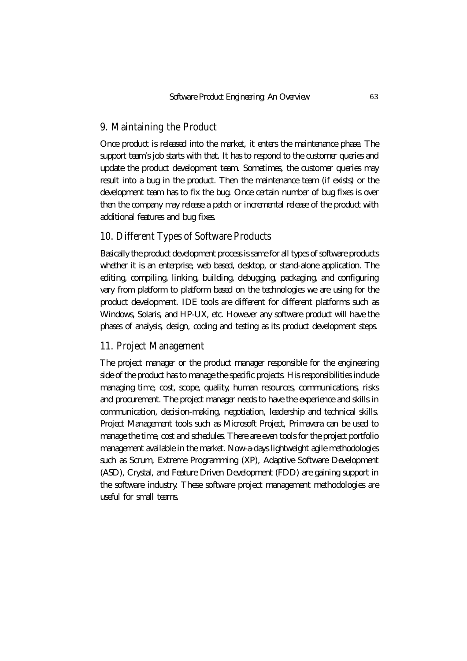# **9. Maintaining the Product**

Once product is released into the market, it enters the maintenance phase. The support team's job starts with that. It has to respond to the customer queries and update the product development team. Sometimes, the customer queries may result into a bug in the product. Then the maintenance team (if exists) or the development team has to fix the bug. Once certain number of bug fixes is over then the company may release a patch or incremental release of the product with additional features and bug fixes.

# **10. Different Types of Software Products**

Basically the product development process is same for all types of software products whether it is an enterprise, web based, desktop, or stand-alone application. The editing, compiling, linking, building, debugging, packaging, and configuring vary from platform to platform based on the technologies we are using for the product development. IDE tools are different for different platforms such as Windows, Solaris, and HP-UX, etc. However any software product will have the phases of analysis, design, coding and testing as its product development steps.

# **11. Project Management**

The project manager or the product manager responsible for the engineering side of the product has to manage the specific projects. His responsibilities include managing time, cost, scope, quality, human resources, communications, risks and procurement. The project manager needs to have the experience and skills in communication, decision-making, negotiation, leadership and technical skills. Project Management tools such as Microsoft Project, Primavera can be used to manage the time, cost and schedules. There are even tools for the project portfolio management available in the market. Now-a-days lightweight agile methodologies such as Scrum, Extreme Programming (XP), Adaptive Software Development (ASD), Crystal, and Feature Driven Development (FDD) are gaining support in the software industry. These software project management methodologies are useful for small teams.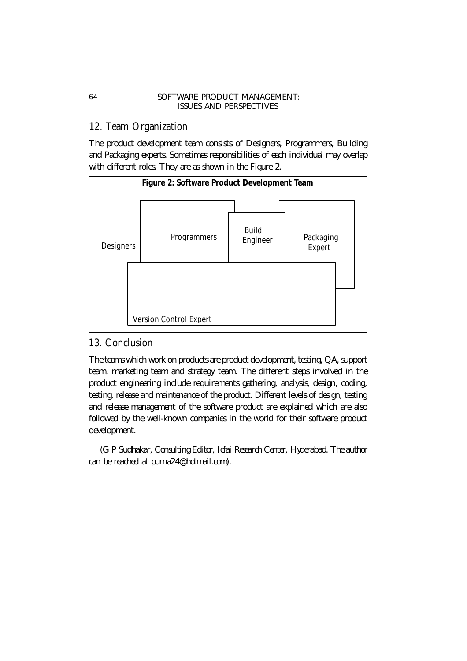# **12. Team Organization**

The product development team consists of Designers, Programmers, Building and Packaging experts. Sometimes responsibilities of each individual may overlap with different roles. They are as shown in the Figure 2.



# **13. Conclusion**

The teams which work on products are product development, testing, QA, support team, marketing team and strategy team. The different steps involved in the product engineering include requirements gathering, analysis, design, coding, testing, release and maintenance of the product. Different levels of design, testing and release management of the software product are explained which are also followed by the well-known companies in the world for their software product development.

*(G P Sudhakar, Consulting Editor, Icfai Research Center, Hyderabad. The author can be reached at purna24@hotmail.com).*